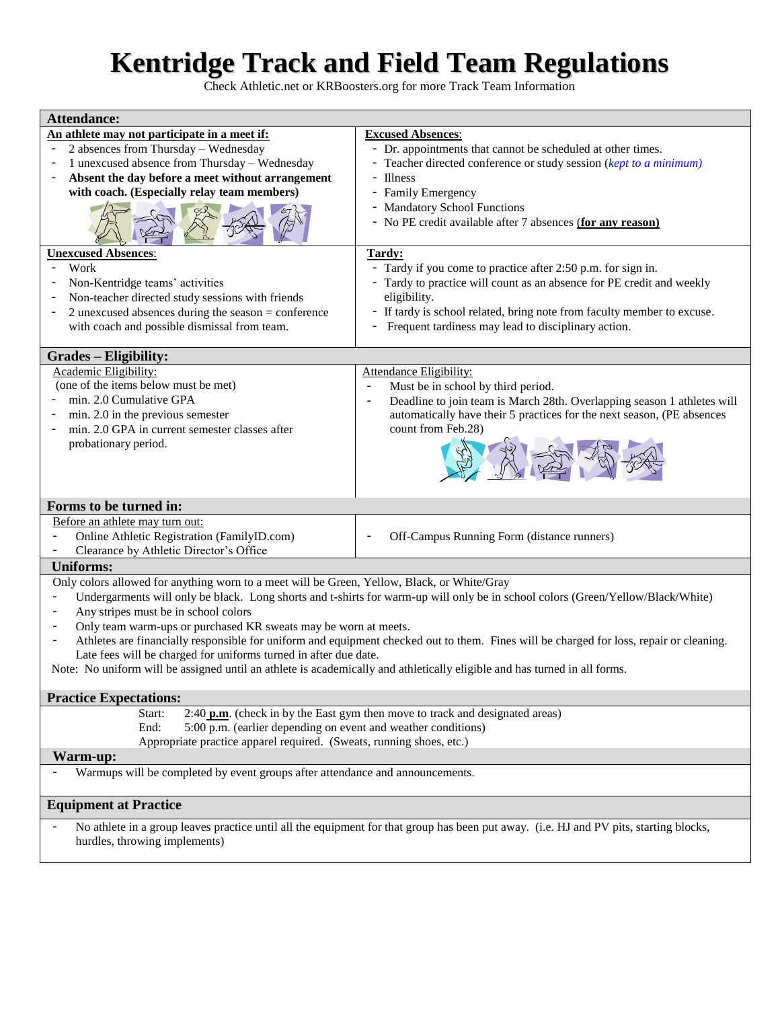# **Kentridge Track and Field Team Regulations**

Check Athletic.net or KRBoosters.org for more Track Team Information

| <b>Attendance:</b>                                                                                                                                                                                          |                                                                                                     |
|-------------------------------------------------------------------------------------------------------------------------------------------------------------------------------------------------------------|-----------------------------------------------------------------------------------------------------|
| An athlete may not participate in a meet if:                                                                                                                                                                | <b>Excused Absences:</b>                                                                            |
| 2 absences from Thursday - Wednesday                                                                                                                                                                        | - Dr. appointments that cannot be scheduled at other times.                                         |
| 1 unexcused absence from Thursday - Wednesday                                                                                                                                                               | - Teacher directed conference or study session (kept to a minimum)                                  |
| Absent the day before a meet without arrangement<br>$\overline{\phantom{a}}$                                                                                                                                | - Illness                                                                                           |
| with coach. (Especially relay team members)                                                                                                                                                                 | - Family Emergency                                                                                  |
|                                                                                                                                                                                                             | - Mandatory School Functions<br>- No PE credit available after 7 absences (for any reason)          |
| <b>Unexcused Absences:</b>                                                                                                                                                                                  | Tardy:                                                                                              |
| Work                                                                                                                                                                                                        | - Tardy if you come to practice after 2:50 p.m. for sign in.                                        |
| Non-Kentridge teams' activities                                                                                                                                                                             | - Tardy to practice will count as an absence for PE credit and weekly                               |
| Non-teacher directed study sessions with friends                                                                                                                                                            | eligibility.                                                                                        |
| 2 unexcused absences during the season $=$ conference                                                                                                                                                       | - If tardy is school related, bring note from faculty member to excuse.                             |
| with coach and possible dismissal from team.                                                                                                                                                                | Frequent tardiness may lead to disciplinary action.                                                 |
|                                                                                                                                                                                                             |                                                                                                     |
| <b>Grades – Eligibility:</b>                                                                                                                                                                                |                                                                                                     |
| Academic Eligibility:                                                                                                                                                                                       | Attendance Eligibility:                                                                             |
| (one of the items below must be met)                                                                                                                                                                        | Must be in school by third period.<br>$\blacksquare$                                                |
| min. 2.0 Cumulative GPA                                                                                                                                                                                     | Deadline to join team is March 28th. Overlapping season 1 athletes will<br>$\overline{\phantom{a}}$ |
| min. 2.0 in the previous semester                                                                                                                                                                           | automatically have their 5 practices for the next season, (PE absences                              |
| min. 2.0 GPA in current semester classes after                                                                                                                                                              | count from Feb.28)                                                                                  |
| probationary period.                                                                                                                                                                                        |                                                                                                     |
|                                                                                                                                                                                                             |                                                                                                     |
| Forms to be turned in:                                                                                                                                                                                      |                                                                                                     |
| Before an athlete may turn out:                                                                                                                                                                             |                                                                                                     |
| Online Athletic Registration (FamilyID.com)                                                                                                                                                                 | Off-Campus Running Form (distance runners)                                                          |
| Clearance by Athletic Director's Office                                                                                                                                                                     |                                                                                                     |
| <b>Uniforms:</b>                                                                                                                                                                                            |                                                                                                     |
| Only colors allowed for anything worn to a meet will be Green, Yellow, Black, or White/Gray                                                                                                                 |                                                                                                     |
|                                                                                                                                                                                                             |                                                                                                     |
| Undergarments will only be black. Long shorts and t-shirts for warm-up will only be in school colors (Green/Yellow/Black/White)<br>$\qquad \qquad \blacksquare$                                             |                                                                                                     |
| Any stripes must be in school colors<br>$\overline{\phantom{0}}$                                                                                                                                            |                                                                                                     |
| Only team warm-ups or purchased KR sweats may be worn at meets.<br>$\overline{\phantom{0}}$                                                                                                                 |                                                                                                     |
| Athletes are financially responsible for uniform and equipment checked out to them. Fines will be charged for loss, repair or cleaning.<br>Late fees will be charged for uniforms turned in after due date. |                                                                                                     |
| Note: No uniform will be assigned until an athlete is academically and athletically eligible and has turned in all forms.                                                                                   |                                                                                                     |
|                                                                                                                                                                                                             |                                                                                                     |
| <b>Practice Expectations:</b>                                                                                                                                                                               |                                                                                                     |
| 2:40 p.m. (check in by the East gym then move to track and designated areas)<br>Start:                                                                                                                      |                                                                                                     |
| $5:00 \overline{p.m}$ . (earlier depending on event and weather conditions)<br>End:                                                                                                                         |                                                                                                     |
| Appropriate practice apparel required. (Sweats, running shoes, etc.)                                                                                                                                        |                                                                                                     |
| Warm-up:                                                                                                                                                                                                    |                                                                                                     |
| Warmups will be completed by event groups after attendance and announcements.                                                                                                                               |                                                                                                     |
|                                                                                                                                                                                                             |                                                                                                     |
| <b>Equipment at Practice</b>                                                                                                                                                                                |                                                                                                     |
| No athlete in a group leaves practice until all the equipment for that group has been put away. (i.e. HJ and PV pits, starting blocks,                                                                      |                                                                                                     |
| hurdles, throwing implements)                                                                                                                                                                               |                                                                                                     |
|                                                                                                                                                                                                             |                                                                                                     |